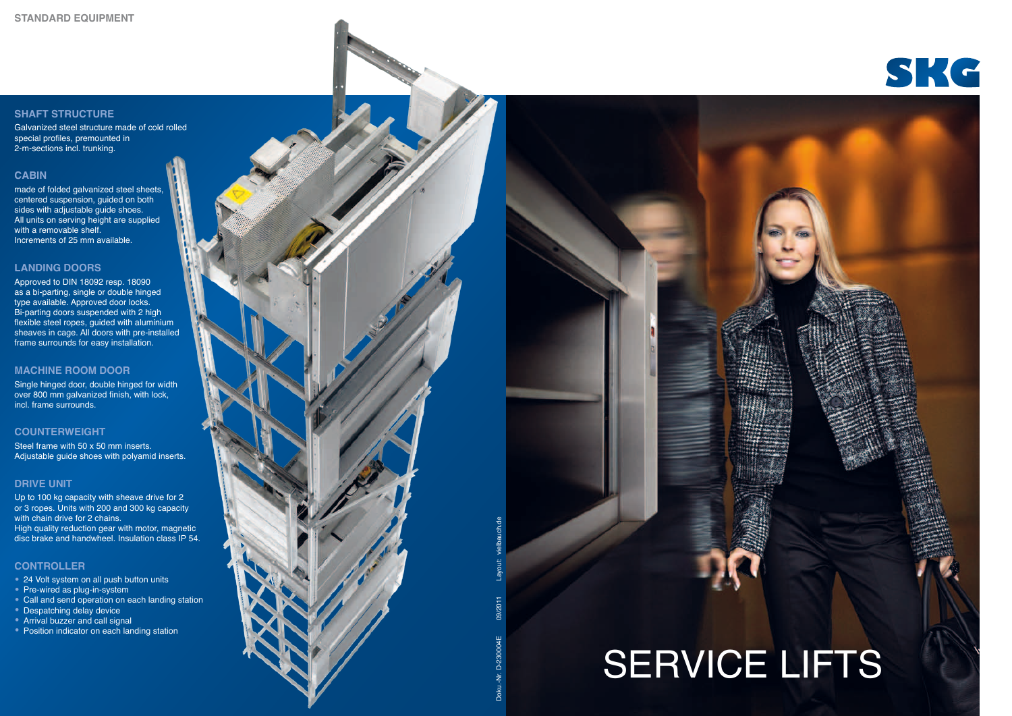Layout: vielbauch.de 09/2011 Doku.-Nr. D-230004E  $\vec{S}$ 

## SERVICE LIFTS





#### **SHAFT STRUCTURE**

Galvanized steel structure made of cold rolled special profiles, premounted in 2-m-sections incl. trunking.

#### **CABIN**

made of folded galvanized steel sheets, centered suspension, guided on both sides with adjustable guide shoes. All units on serving height are supplied with a removable shelf. Increments of 25 mm available.

#### **LANDING DOORS**

Approved to DIN 18092 resp. 18090 as a bi-parting, single or double hinged type available. Approved door locks. Bi-parting doors suspended with 2 high flexible steel ropes, guided with aluminium sheaves in cage. All doors with pre-installed frame surrounds for easy installation.

#### **MACHINE ROOM DOOR**

Single hinged door, double hinged for width over 800 mm galvanized finish, with lock, incl. frame surrounds.

#### **COUNTERWEIGHT**

Steel frame with 50 x 50 mm inserts. Adjustable guide shoes with polyamid inserts.

#### **DRIVE UNIT**

Up to 100 kg capacity with sheave drive for 2 or 3 ropes. Units with 200 and 300 kg capacity with chain drive for 2 chains. High quality reduction gear with motor, magnetic disc brake and handwheel. Insulation class IP 54.

#### **CONTROLLER**

- 
- 
- 24 Volt system on all push button units<br>• Pre-wired as plug-in-system<br>• Call and send operation on each landing station<br>• Despatching delay device<br>• Arrival buzzer and call signal<br>• Position indicator on each landing sta
- 
- 
-